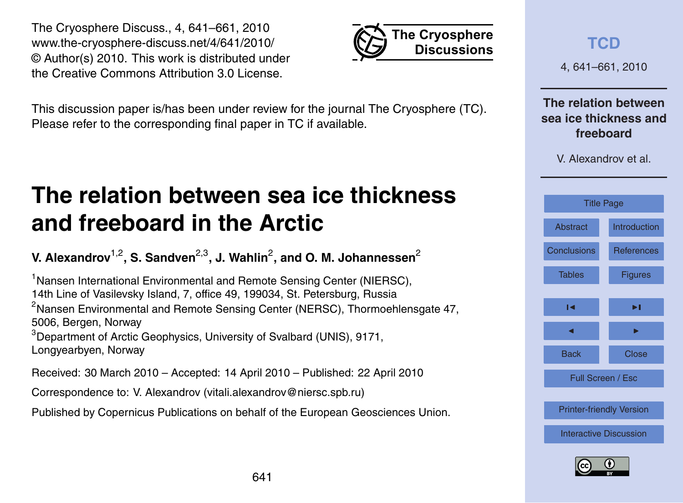641

<span id="page-0-0"></span>The Cryosphere Discuss., 4, 641–661, 2010 www.the-cryosphere-discuss.net/4/641/2010/ © Author(s) 2010. This work is distributed under the Creative Commons Attribution 3.0 License.

This discussion paper is/has been under review for the journal The Cryosphere (TC). Please refer to the corresponding final paper in TC if available.

# **The relation between sea ice thickness and freeboard in the Arctic**

**V. Alexandrov** $^{1,2}$ **, S. Sandven** $^{2,3}$ **, J. Wahlin** $^2$ **, and O. M. Johannessen** $^2$ 

<sup>1</sup> Nansen International Environmental and Remote Sensing Center (NIERSC), 14th Line of Vasilevsky Island, 7, office 49, 199034, St. Petersburg, Russia  $2$ Nansen Environmental and Remote Sensing Center (NERSC), Thormoehlensgate 47, 5006, Bergen, Norway <sup>3</sup>Department of Arctic Geophysics, University of Svalbard (UNIS), 9171, Longyearbyen, Norway

Received: 30 March 2010 – Accepted: 14 April 2010 – Published: 22 April 2010

Correspondence to: V. Alexandrov (vitali.alexandrov@niersc.spb.ru)

Published by Copernicus Publications on behalf of the European Geosciences Union.



**The Cryosphere Discussions**

> **The relation between sea ice thickness and freeboard**



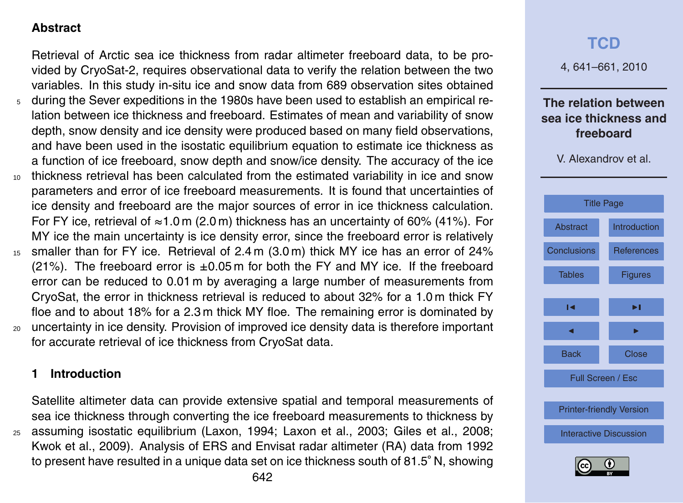### <span id="page-1-0"></span>**Abstract**

Retrieval of Arctic sea ice thickness from radar altimeter freeboard data, to be provided by CryoSat-2, requires observational data to verify the relation between the two variables. In this study in-situ ice and snow data from 689 observation sites obtained

- <sup>5</sup> during the Sever expeditions in the 1980s have been used to establish an empirical relation between ice thickness and freeboard. Estimates of mean and variability of snow depth, snow density and ice density were produced based on many field observations, and have been used in the isostatic equilibrium equation to estimate ice thickness as a function of ice freeboard, snow depth and snow/ice density. The accuracy of the ice
- <sup>10</sup> thickness retrieval has been calculated from the estimated variability in ice and snow parameters and error of ice freeboard measurements. It is found that uncertainties of ice density and freeboard are the major sources of error in ice thickness calculation. For FY ice, retrieval of  $\approx$ 1.0 m (2.0 m) thickness has an uncertainty of 60% (41%). For MY ice the main uncertainty is ice density error, since the freeboard error is relatively
- 15 smaller than for FY ice. Retrieval of 2.4 m (3.0 m) thick MY ice has an error of 24%  $(21\%)$ . The freeboard error is  $\pm 0.05$  m for both the FY and MY ice. If the freeboard error can be reduced to 0.01 m by averaging a large number of measurements from CryoSat, the error in thickness retrieval is reduced to about 32% for a 1.0 m thick FY floe and to about 18% for a 2.3 m thick MY floe. The remaining error is dominated by <sup>20</sup> uncertainty in ice density. Provision of improved ice density data is therefore important for accurate retrieval of ice thickness from CryoSat data.

#### **1 Introduction**

Satellite altimeter data can provide extensive spatial and temporal measurements of sea ice thickness through converting the ice freeboard measurements to thickness by <sup>25</sup> assuming isostatic equilibrium (Laxon, 1994; Laxon et al., 2003; Giles et al., 2008; Kwok et al., 2009). Analysis of ERS and Envisat radar altimeter (RA) data from 1992 to present have resulted in a unique data set on ice thickness south of 81.5° N, showing

# **[TCD](http://www.the-cryosphere-discuss.net)** 4, 641–661, 2010 **The relation between sea ice thickness and freeboard** V. Alexandrov et al. [Title Page](#page-0-0) Abstract Introduction [Conclusions](#page-10-0) [References](#page-12-0) [Tables](#page-16-0) [Figures](#page-17-0)  $\overline{\phantom{a}}$ J I Back Close Full Screen / Esc [Printer-friendly Version](http://www.the-cryosphere-discuss.net/4/641/2010/tcd-4-641-2010-print.pdf) [Interactive Discussion](http://www.the-cryosphere-discuss.net/4/641/2010/tcd-4-641-2010-discussion.html)

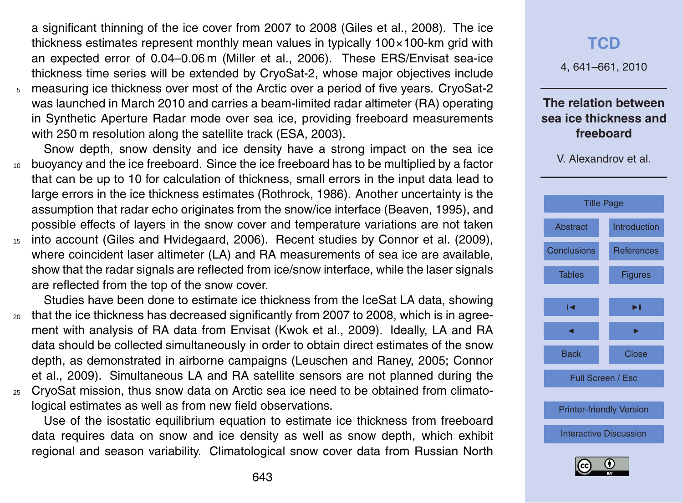a significant thinning of the ice cover from 2007 to 2008 (Giles et al., 2008). The ice thickness estimates represent monthly mean values in typically 100×100-km grid with an expected error of 0.04–0.06 m (Miller et al., 2006). These ERS/Envisat sea-ice thickness time series will be extended by CryoSat-2, whose major objectives include <sup>5</sup> measuring ice thickness over most of the Arctic over a period of five years. CryoSat-2 was launched in March 2010 and carries a beam-limited radar altimeter (RA) operating in Synthetic Aperture Radar mode over sea ice, providing freeboard measurements with 250 m resolution along the satellite track (ESA, 2003).

Snow depth, snow density and ice density have a strong impact on the sea ice <sup>10</sup> buoyancy and the ice freeboard. Since the ice freeboard has to be multiplied by a factor that can be up to 10 for calculation of thickness, small errors in the input data lead to large errors in the ice thickness estimates (Rothrock, 1986). Another uncertainty is the assumption that radar echo originates from the snow/ice interface (Beaven, 1995), and possible effects of layers in the snow cover and temperature variations are not taken

<sup>15</sup> into account (Giles and Hvidegaard, 2006). Recent studies by Connor et al. (2009), where coincident laser altimeter (LA) and RA measurements of sea ice are available, show that the radar signals are reflected from ice/snow interface, while the laser signals are reflected from the top of the snow cover.

Studies have been done to estimate ice thickness from the IceSat LA data, showing <sub>20</sub> that the ice thickness has decreased significantly from 2007 to 2008, which is in agreement with analysis of RA data from Envisat (Kwok et al., 2009). Ideally, LA and RA data should be collected simultaneously in order to obtain direct estimates of the snow depth, as demonstrated in airborne campaigns (Leuschen and Raney, 2005; Connor et al., 2009). Simultaneous LA and RA satellite sensors are not planned during the <sup>25</sup> CryoSat mission, thus snow data on Arctic sea ice need to be obtained from climato-

logical estimates as well as from new field observations.

Use of the isostatic equilibrium equation to estimate ice thickness from freeboard data requires data on snow and ice density as well as snow depth, which exhibit regional and season variability. Climatological snow cover data from Russian North



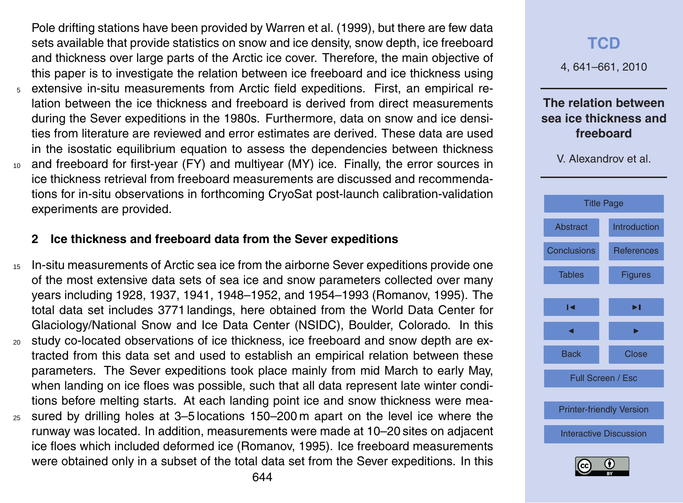Pole drifting stations have been provided by Warren et al. (1999), but there are few data sets available that provide statistics on snow and ice density, snow depth, ice freeboard and thickness over large parts of the Arctic ice cover. Therefore, the main objective of this paper is to investigate the relation between ice freeboard and ice thickness using

- <sup>5</sup> extensive in-situ measurements from Arctic field expeditions. First, an empirical relation between the ice thickness and freeboard is derived from direct measurements during the Sever expeditions in the 1980s. Furthermore, data on snow and ice densities from literature are reviewed and error estimates are derived. These data are used in the isostatic equilibrium equation to assess the dependencies between thickness
- <sup>10</sup> and freeboard for first-year (FY) and multiyear (MY) ice. Finally, the error sources in ice thickness retrieval from freeboard measurements are discussed and recommendations for in-situ observations in forthcoming CryoSat post-launch calibration-validation experiments are provided.

#### **2 Ice thickness and freeboard data from the Sever expeditions**

- <sup>15</sup> In-situ measurements of Arctic sea ice from the airborne Sever expeditions provide one of the most extensive data sets of sea ice and snow parameters collected over many years including 1928, 1937, 1941, 1948–1952, and 1954–1993 (Romanov, 1995). The total data set includes 3771 landings, here obtained from the World Data Center for Glaciology/National Snow and Ice Data Center (NSIDC), Boulder, Colorado. In this <sup>20</sup> study co-located observations of ice thickness, ice freeboard and snow depth are ex-
- tracted from this data set and used to establish an empirical relation between these parameters. The Sever expeditions took place mainly from mid March to early May, when landing on ice floes was possible, such that all data represent late winter conditions before melting starts. At each landing point ice and snow thickness were mea-
- <sup>25</sup> sured by drilling holes at 3–5 locations 150–200 m apart on the level ice where the runway was located. In addition, measurements were made at 10–20 sites on adjacent ice floes which included deformed ice (Romanov, 1995). Ice freeboard measurements were obtained only in a subset of the total data set from the Sever expeditions. In this



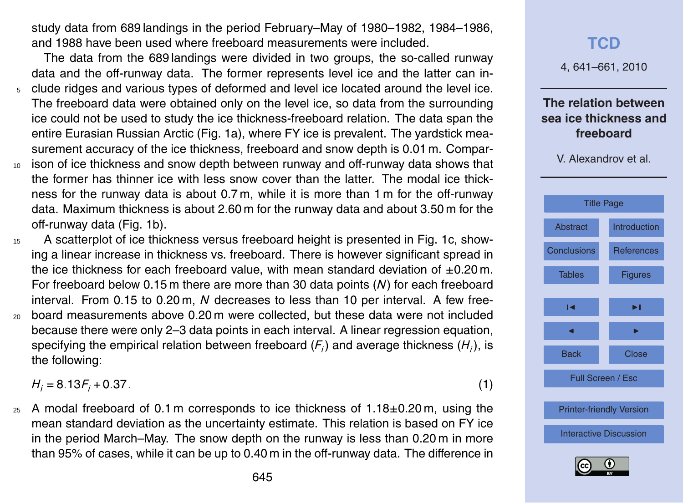study data from 689 landings in the period February–May of 1980–1982, 1984–1986, and 1988 have been used where freeboard measurements were included.

The data from the 689 landings were divided in two groups, the so-called runway data and the off-runway data. The former represents level ice and the latter can in-

- <sup>5</sup> clude ridges and various types of deformed and level ice located around the level ice. The freeboard data were obtained only on the level ice, so data from the surrounding ice could not be used to study the ice thickness-freeboard relation. The data span the entire Eurasian Russian Arctic (Fig. 1a), where FY ice is prevalent. The yardstick measurement accuracy of the ice thickness, freeboard and snow depth is 0.01 m. Compar-
- <sup>10</sup> ison of ice thickness and snow depth between runway and off-runway data shows that the former has thinner ice with less snow cover than the latter. The modal ice thickness for the runway data is about 0.7 m, while it is more than 1 m for the off-runway data. Maximum thickness is about 2.60 m for the runway data and about 3.50 m for the off-runway data (Fig. 1b).
- <sup>15</sup> A scatterplot of ice thickness versus freeboard height is presented in Fig. 1c, showing a linear increase in thickness vs. freeboard. There is however significant spread in the ice thickness for each freeboard value, with mean standard deviation of  $\pm 0.20$  m. For freeboard below 0.15 m there are more than 30 data points (*N*) for each freeboard interval. From 0.15 to 0.20 m, *N* decreases to less than 10 per interval. A few free-<sup>20</sup> board measurements above 0.20 m were collected, but these data were not included because there were only 2–3 data points in each interval. A linear regression equation, specifying the empirical relation between freeboard ( $\mathsf{F}_i$ ) and average thickness ( $\mathsf{H}_i$ ), is the following:

 $H_i = 8.13F_i + 0.37$ . (1)

 $25$  A modal freeboard of 0.1 m corresponds to ice thickness of 1.18 $\pm$ 0.20 m, using the mean standard deviation as the uncertainty estimate. This relation is based on FY ice in the period March–May. The snow depth on the runway is less than 0.20 m in more than 95% of cases, while it can be up to 0.40 m in the off-runway data. The difference in

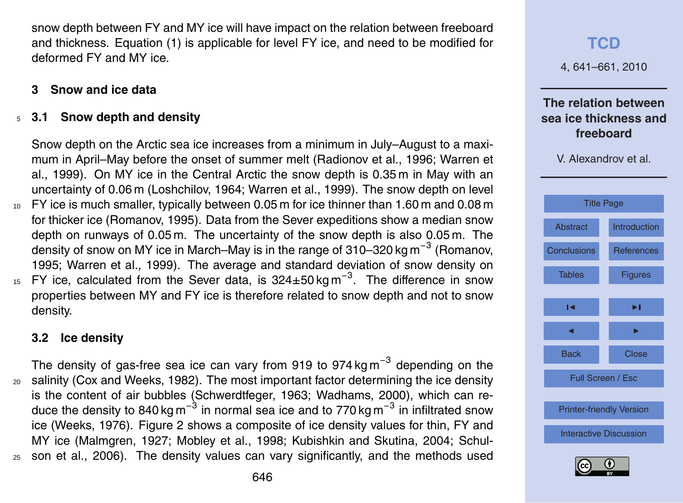snow depth between FY and MY ice will have impact on the relation between freeboard and thickness. Equation (1) is applicable for level FY ice, and need to be modified for deformed FY and MY ice.

### **3 Snow and ice data**

### <sup>5</sup> **3.1 Snow depth and density**

Snow depth on the Arctic sea ice increases from a minimum in July–August to a maximum in April–May before the onset of summer melt (Radionov et al., 1996; Warren et al., 1999). On MY ice in the Central Arctic the snow depth is 0.35 m in May with an uncertainty of 0.06 m (Loshchilov, 1964; Warren et al., 1999). The snow depth on level <sup>10</sup> FY ice is much smaller, typically between 0.05 m for ice thinner than 1.60 m and 0.08 m for thicker ice (Romanov, 1995). Data from the Sever expeditions show a median snow depth on runways of 0.05 m. The uncertainty of the snow depth is also 0.05 m. The density of snow on MY ice in March–May is in the range of 310–320 kg m<sup>-3</sup> (Romanov, 1995; Warren et al., 1999). The average and standard deviation of snow density on <sup>15</sup> FY ice, calculated from the Sever data, is 324±50 kg m<sup>-3</sup>. The difference in snow

properties between MY and FY ice is therefore related to snow depth and not to snow density.

#### **3.2 Ice density**

The density of gas-free sea ice can vary from 919 to 974 kg m<sup>-3</sup> depending on the <sup>20</sup> salinity (Cox and Weeks, 1982). The most important factor determining the ice density is the content of air bubbles (Schwerdtfeger, 1963; Wadhams, 2000), which can reduce the density to 840 kg m<sup>−3</sup> in normal sea ice and to 770 kg m<sup>−3</sup> in infiltrated snow ice (Weeks, 1976). Figure 2 shows a composite of ice density values for thin, FY and MY ice (Malmgren, 1927; Mobley et al., 1998; Kubishkin and Skutina, 2004; Schul-<sup>25</sup> son et al., 2006). The density values can vary significantly, and the methods used



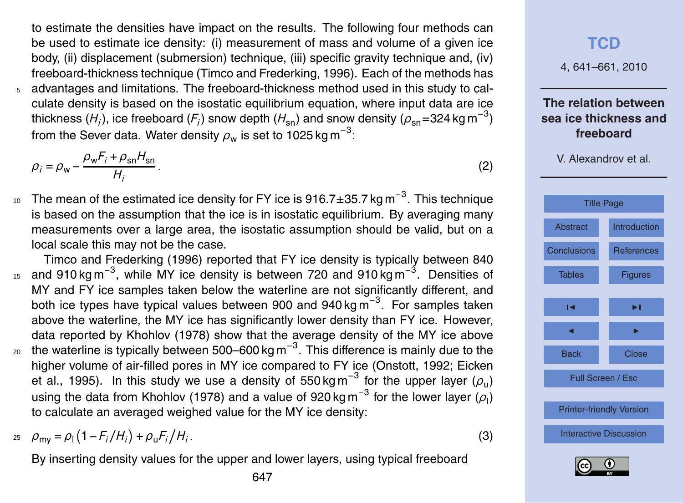to estimate the densities have impact on the results. The following four methods can be used to estimate ice density: (i) measurement of mass and volume of a given ice body, (ii) displacement (submersion) technique, (iii) specific gravity technique and, (iv) freeboard-thickness technique (Timco and Frederking, 1996). Each of the methods has <sup>5</sup> advantages and limitations. The freeboard-thickness method used in this study to calculate density is based on the isostatic equilibrium equation, where input data are ice thickness  $(H_i)$ , ice freeboard ( $\mathit{F}_i$ ) snow depth ( $H_{\textrm{sn}}$ ) and snow density ( $\rho_{\textrm{sn}}$ =324 kg m $^{-3})$ from the Sever data. Water density  $\rho_{_{\text{\tiny W}}}$  is set to 1025 kg m<sup>−3</sup>:

$$
\rho_i = \rho_w - \frac{\rho_w F_i + \rho_{sn} H_{sn}}{H_i}.
$$
\n(2)

 $10$  The mean of the estimated ice density for FY ice is 916.7±35.7 kg m $^{-3}$ . This technique is based on the assumption that the ice is in isostatic equilibrium. By averaging many measurements over a large area, the isostatic assumption should be valid, but on a local scale this may not be the case.

Timco and Frederking (1996) reported that FY ice density is typically between 840 <sup>15</sup> and 910 kg m<sup>−3</sup>, while MY ice density is between 720 and 910 kg m<sup>−3</sup>. Densities of MY and FY ice samples taken below the waterline are not significantly different, and both ice types have typical values between 900 and 940 kg m<sup>-3</sup>. For samples taken above the waterline, the MY ice has significantly lower density than FY ice. However, data reported by Khohlov (1978) show that the average density of the MY ice above 20 the waterline is typically between 500–600 kg m<sup>−3</sup>. This difference is mainly due to the higher volume of air-filled pores in MY ice compared to FY ice (Onstott, 1992; Eicken et al., 1995). In this study we use a density of 550 kg m<sup>-3</sup> for the upper layer ( $\rho_{\sf u}$ ) using the data from Khohlov (1978) and a value of 920 kg m<sup>−3</sup> for the lower layer ( $\rho_{\sf i}$ ) to calculate an averaged weighed value for the MY ice density:

$$
P_{\text{my}} = \rho_1 (1 - F_i / H_i) + \rho_0 F_i / H_i. \tag{3}
$$

By inserting density values for the upper and lower layers, using typical freeboard

**[TCD](http://www.the-cryosphere-discuss.net)** 4, 641–661, 2010 **The relation between sea ice thickness and freeboard** V. Alexandrov et al. [Title Page](#page-0-0) [Abstract](#page-1-0) [Introduction](#page-1-0) [Conclusions](#page-10-0) [References](#page-12-0) [Tables](#page-16-0) [Figures](#page-17-0) J I J I Back Close Full Screen / Esc [Printer-friendly Version](http://www.the-cryosphere-discuss.net/4/641/2010/tcd-4-641-2010-print.pdf) [Interactive Discussion](http://www.the-cryosphere-discuss.net/4/641/2010/tcd-4-641-2010-discussion.html)

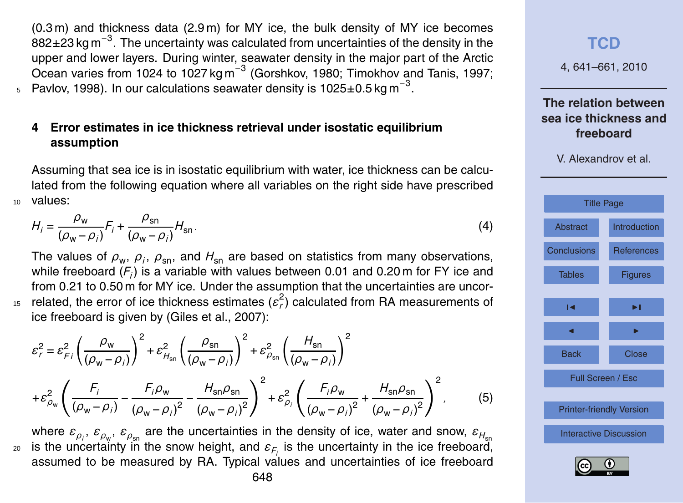(0.3 m) and thickness data (2.9 m) for MY ice, the bulk density of MY ice becomes 882±23 kg m<sup>−3</sup>. The uncertainty was calculated from uncertainties of the density in the upper and lower layers. During winter, seawater density in the major part of the Arctic Ocean varies from 1024 to 1027 kg m<sup>-3</sup> (Gorshkov, 1980; Timokhov and Tanis, 1997;  $5$  Pavlov, 1998). In our calculations seawater density is 1025±0.5 kg m<sup>−3</sup>.

### **4 Error estimates in ice thickness retrieval under isostatic equilibrium assumption**

Assuming that sea ice is in isostatic equilibrium with water, ice thickness can be calculated from the following equation where all variables on the right side have prescribed values:

$$
H_i = \frac{\rho_w}{(\rho_w - \rho_i)} F_i + \frac{\rho_{sn}}{(\rho_w - \rho_i)} H_{sn}.
$$
\n(4)

The values of  $ρ_{w}$ ,  $ρ_{i}$ ,  $ρ_{sn}$ , and  $H_{sn}$  are based on statistics from many observations, while freeboard  $(\mathcal{F}_i)$  is a variable with values between 0.01 and 0.20 m for FY ice and from 0.21 to 0.50 m for MY ice. Under the assumption that the uncertainties are uncor-<sup>15</sup> related, the error of ice thickness estimates  $(\varepsilon_r^2)$  calculated from RA measurements of ice freeboard is given by (Giles et al., 2007):

$$
\varepsilon_r^2 = \varepsilon_{Fi}^2 \left( \frac{\rho_w}{(\rho_w - \rho_i)} \right)^2 + \varepsilon_{H_{sn}}^2 \left( \frac{\rho_{sn}}{(\rho_w - \rho_i)} \right)^2 + \varepsilon_{\rho_{sn}}^2 \left( \frac{H_{sn}}{(\rho_w - \rho_i)} \right)^2
$$

$$
+ \varepsilon_{\rho_w}^2 \left( \frac{F_i}{(\rho_w - \rho_i)} - \frac{F_i \rho_w}{(\rho_w - \rho_i)^2} - \frac{H_{sn} \rho_{sn}}{(\rho_w - \rho_i)^2} \right)^2 + \varepsilon_{\rho_i}^2 \left( \frac{F_i \rho_w}{(\rho_w - \rho_i)^2} + \frac{H_{sn} \rho_{sn}}{(\rho_w - \rho_i)^2} \right)^2, \tag{5}
$$

where  $\varepsilon_{\rho_i},\,\varepsilon_{\rho_{\rm w}},\,\varepsilon_{\rho_{\rm sn}}$  are the uncertainties in the density of ice, water and snow,  $\varepsilon_{H_{\rm sn}}$ is the uncertainty in the snow height, and *εF<sup>i</sup>* <sup>20</sup> is the uncertainty in the ice freeboard, assumed to be measured by RA. Typical values and uncertainties of ice freeboard

| <b>TCD</b>                                                 |                     |  |  |  |
|------------------------------------------------------------|---------------------|--|--|--|
| 4, 641-661, 2010                                           |                     |  |  |  |
| The relation between<br>sea ice thickness and<br>freeboard |                     |  |  |  |
| V. Alexandrov et al.                                       |                     |  |  |  |
|                                                            |                     |  |  |  |
| <b>Title Page</b>                                          |                     |  |  |  |
| <b>Abstract</b>                                            | <b>Introduction</b> |  |  |  |
| Conclusions                                                | <b>References</b>   |  |  |  |
| <b>Tables</b>                                              | <b>Figures</b>      |  |  |  |
| м                                                          | ьı                  |  |  |  |
|                                                            |                     |  |  |  |
| <b>Back</b>                                                | Close               |  |  |  |
| Full Screen / Esc                                          |                     |  |  |  |
| <b>Printer-friendly Version</b>                            |                     |  |  |  |
| <b>Interactive Discussion</b>                              |                     |  |  |  |

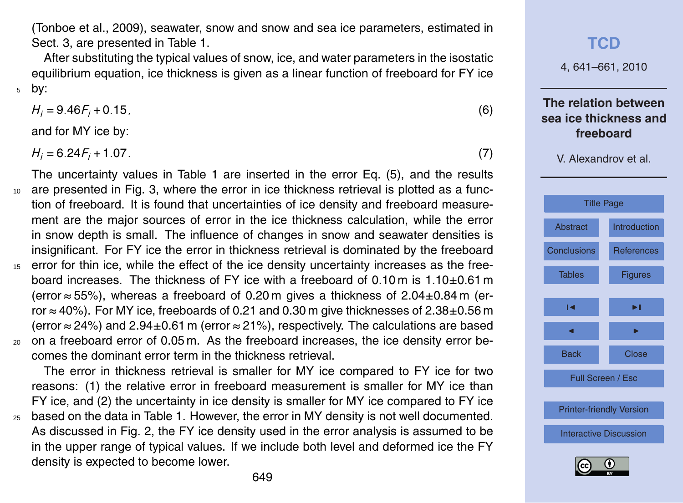(Tonboe et al., 2009), seawater, snow and snow and sea ice parameters, estimated in Sect. 3, are presented in Table 1.

After substituting the typical values of snow, ice, and water parameters in the isostatic equilibrium equation, ice thickness is given as a linear function of freeboard for FY ice <sup>5</sup> by:

 $H_i = 9.46F_i + 0.15$ , (6)

and for MY ice by:

$$
H_i = 6.24F_i + 1.07.
$$
 (7)

The uncertainty values in Table 1 are inserted in the error Eq. (5), and the results <sup>10</sup> are presented in Fig. 3, where the error in ice thickness retrieval is plotted as a function of freeboard. It is found that uncertainties of ice density and freeboard measurement are the major sources of error in the ice thickness calculation, while the error in snow depth is small. The influence of changes in snow and seawater densities is insignificant. For FY ice the error in thickness retrieval is dominated by the freeboard <sup>15</sup> error for thin ice, while the effect of the ice density uncertainty increases as the freeboard increases. The thickness of FY ice with a freeboard of  $0.10 \text{ m}$  is  $1.10+0.61 \text{ m}$ (error ≈ 55%), whereas a freeboard of 0.20 m gives a thickness of 2.04±0.84 m (error  $\approx$  40%). For MY ice, freeboards of 0.21 and 0.30 m give thicknesses of 2.38 $\pm$ 0.56 m (error ≈ 24%) and 2.94±0.61 m (error ≈ 21%), respectively. The calculations are based  $20$  on a freeboard error of 0.05 m. As the freeboard increases, the ice density error becomes the dominant error term in the thickness retrieval.

The error in thickness retrieval is smaller for MY ice compared to FY ice for two reasons: (1) the relative error in freeboard measurement is smaller for MY ice than FY ice, and (2) the uncertainty in ice density is smaller for MY ice compared to FY ice <sup>25</sup> based on the data in Table 1. However, the error in MY density is not well documented. As discussed in Fig. 2, the FY ice density used in the error analysis is assumed to be

in the upper range of typical values. If we include both level and deformed ice the FY density is expected to become lower.

**[TCD](http://www.the-cryosphere-discuss.net)** 4, 641–661, 2010 **The relation between sea ice thickness and freeboard** V. Alexandrov et al. [Title Page](#page-0-0) [Abstract](#page-1-0) [Introduction](#page-1-0) [Conclusions](#page-10-0) [References](#page-12-0) [Tables](#page-16-0) [Figures](#page-17-0)  $\overline{\phantom{a}}$ J I Back Close Full Screen / Esc [Printer-friendly Version](http://www.the-cryosphere-discuss.net/4/641/2010/tcd-4-641-2010-print.pdf) [Interactive Discussion](http://www.the-cryosphere-discuss.net/4/641/2010/tcd-4-641-2010-discussion.html)

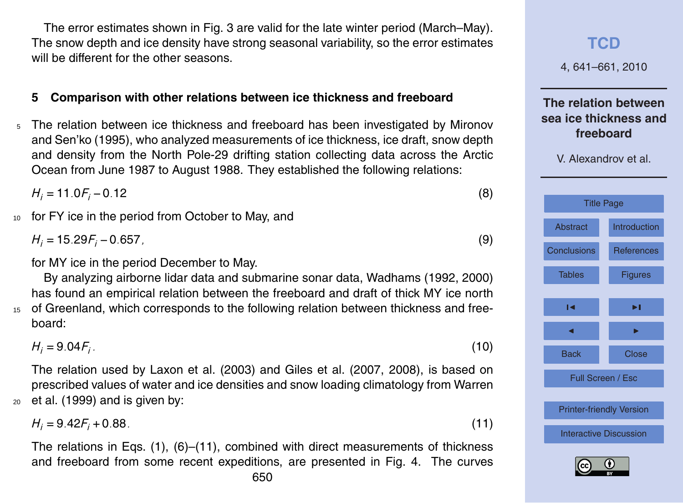The error estimates shown in Fig. 3 are valid for the late winter period (March–May). The snow depth and ice density have strong seasonal variability, so the error estimates will be different for the other seasons.

### **5 Comparison with other relations between ice thickness and freeboard**

The relation between ice thickness and freeboard has been investigated by Mironov and Sen'ko (1995), who analyzed measurements of ice thickness, ice draft, snow depth and density from the North Pole-29 drifting station collecting data across the Arctic Ocean from June 1987 to August 1988. They established the following relations:

 $H_i = 11.0F_i - 0.12$  (8)

10 for FY ice in the period from October to May, and

 $H_i = 15.29F_i - 0.657$ , (9)

for MY ice in the period December to May.

By analyzing airborne lidar data and submarine sonar data, Wadhams (1992, 2000) has found an empirical relation between the freeboard and draft of thick MY ice north

<sup>15</sup> of Greenland, which corresponds to the following relation between thickness and freeboard:

 $H_i = 9.04F_i$ . *.* (10)

The relation used by Laxon et al. (2003) and Giles et al. (2007, 2008), is based on prescribed values of water and ice densities and snow loading climatology from Warren  $20$  et al. (1999) and is given by:

 $H_i = 9.42F_i + 0.88$ . (11)

The relations in Eqs.  $(1)$ ,  $(6)$ – $(11)$ , combined with direct measurements of thickness and freeboard from some recent expeditions, are presented in Fig. 4. The curves

**[TCD](http://www.the-cryosphere-discuss.net)** 4, 641–661, 2010 **The relation between sea ice thickness and freeboard** V. Alexandrov et al. [Title Page](#page-0-0) [Abstract](#page-1-0) [Introduction](#page-1-0) [Conclusions](#page-10-0) [References](#page-12-0) [Tables](#page-16-0) [Figures](#page-17-0)  $\overline{\phantom{a}}$ J I Back Close Full Screen / Esc [Printer-friendly Version](http://www.the-cryosphere-discuss.net/4/641/2010/tcd-4-641-2010-print.pdf) [Interactive Discussion](http://www.the-cryosphere-discuss.net/4/641/2010/tcd-4-641-2010-discussion.html)

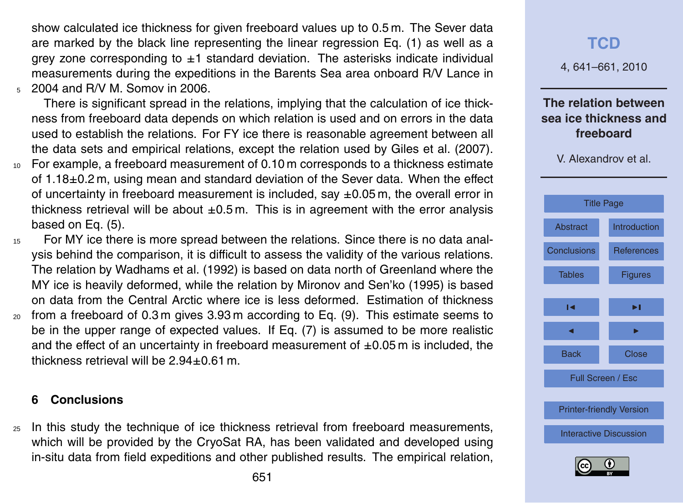<span id="page-10-0"></span>show calculated ice thickness for given freeboard values up to 0.5 m. The Sever data are marked by the black line representing the linear regression Eq. (1) as well as a grey zone corresponding to  $\pm 1$  standard deviation. The asterisks indicate individual measurements during the expeditions in the Barents Sea area onboard R/V Lance in <sup>5</sup> 2004 and R/V M. Somov in 2006.

There is significant spread in the relations, implying that the calculation of ice thickness from freeboard data depends on which relation is used and on errors in the data used to establish the relations. For FY ice there is reasonable agreement between all the data sets and empirical relations, except the relation used by Giles et al. (2007).

- <sup>10</sup> For example, a freeboard measurement of 0.10 m corresponds to a thickness estimate of 1.18±0.2 m, using mean and standard deviation of the Sever data. When the effect of uncertainty in freeboard measurement is included, say  $\pm 0.05$  m, the overall error in thickness retrieval will be about  $\pm 0.5$  m. This is in agreement with the error analysis based on Eq. (5).
- <sup>15</sup> For MY ice there is more spread between the relations. Since there is no data analysis behind the comparison, it is difficult to assess the validity of the various relations. The relation by Wadhams et al. (1992) is based on data north of Greenland where the MY ice is heavily deformed, while the relation by Mironov and Sen'ko (1995) is based on data from the Central Arctic where ice is less deformed. Estimation of thickness  $20$  from a freeboard of 0.3 m gives 3.93 m according to Eq. (9). This estimate seems to
- be in the upper range of expected values. If Eq. (7) is assumed to be more realistic and the effect of an uncertainty in freeboard measurement of  $\pm 0.05$  m is included, the thickness retrieval will be 2.94±0.61 m.

#### **6 Conclusions**

<sub>25</sub> In this study the technique of ice thickness retrieval from freeboard measurements, which will be provided by the CryoSat RA, has been validated and developed using in-situ data from field expeditions and other published results. The empirical relation,

# **[TCD](http://www.the-cryosphere-discuss.net)** 4, 641–661, 2010 **The relation between sea ice thickness and freeboard** V. Alexandrov et al. [Title Page](#page-0-0) [Abstract](#page-1-0) [Introduction](#page-1-0) Conclusions [References](#page-12-0) [Tables](#page-16-0) [Figures](#page-17-0)  $\overline{\phantom{a}}$ J I Back Close Full Screen / Esc [Printer-friendly Version](http://www.the-cryosphere-discuss.net/4/641/2010/tcd-4-641-2010-print.pdf) [Interactive Discussion](http://www.the-cryosphere-discuss.net/4/641/2010/tcd-4-641-2010-discussion.html)

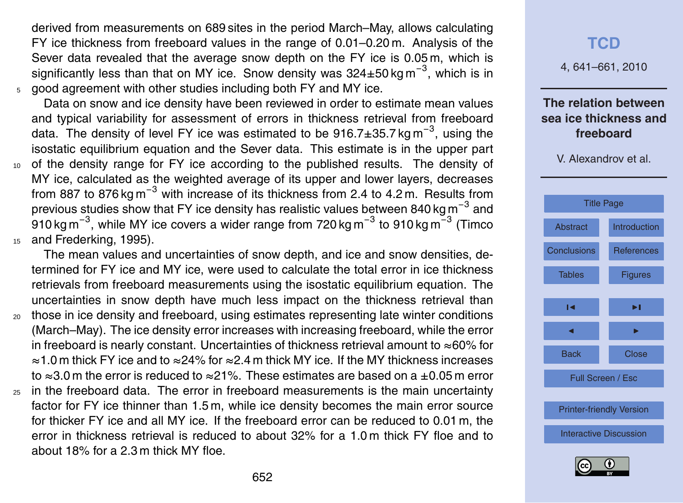derived from measurements on 689 sites in the period March–May, allows calculating FY ice thickness from freeboard values in the range of 0.01–0.20 m. Analysis of the Sever data revealed that the average snow depth on the FY ice is 0.05 m, which is significantly less than that on MY ice. Snow density was 324±50 kg m<sup>-3</sup>, which is in <sup>5</sup> good agreement with other studies including both FY and MY ice.

Data on snow and ice density have been reviewed in order to estimate mean values and typical variability for assessment of errors in thickness retrieval from freeboard data. The density of level FY ice was estimated to be 916.7±35.7 kg m<sup>-3</sup>, using the isostatic equilibrium equation and the Sever data. This estimate is in the upper part <sup>10</sup> of the density range for FY ice according to the published results. The density of MY ice, calculated as the weighted average of its upper and lower layers, decreases from 887 to 876 kg m<sup>-3</sup> with increase of its thickness from 2.4 to 4.2 m. Results from previous studies show that FY ice density has realistic values between 840 kg m<sup>-3</sup> and  $910\,\mathrm{kg\,m}^{-3}$ , while MY ice covers a wider range from 720 kg m $^{-3}$  to 910 kg m $^{-3}$  (Timco 15 and Frederking, 1995).

The mean values and uncertainties of snow depth, and ice and snow densities, determined for FY ice and MY ice, were used to calculate the total error in ice thickness retrievals from freeboard measurements using the isostatic equilibrium equation. The uncertainties in snow depth have much less impact on the thickness retrieval than <sup>20</sup> those in ice density and freeboard, using estimates representing late winter conditions (March–May). The ice density error increases with increasing freeboard, while the error in freeboard is nearly constant. Uncertainties of thickness retrieval amount to ≈60% for ≈1.0 m thick FY ice and to ≈24% for ≈2.4 m thick MY ice. If the MY thickness increases to ≈3.0 m the error is reduced to ≈21%. These estimates are based on a  $\pm$ 0.05 m error

 $25$  in the freeboard data. The error in freeboard measurements is the main uncertainty factor for FY ice thinner than 1.5 m, while ice density becomes the main error source for thicker FY ice and all MY ice. If the freeboard error can be reduced to 0.01 m, the error in thickness retrieval is reduced to about 32% for a 1.0 m thick FY floe and to about 18% for a 2.3 m thick MY floe.

## **[TCD](http://www.the-cryosphere-discuss.net)**

4, 641–661, 2010

#### **The relation between sea ice thickness and freeboard**



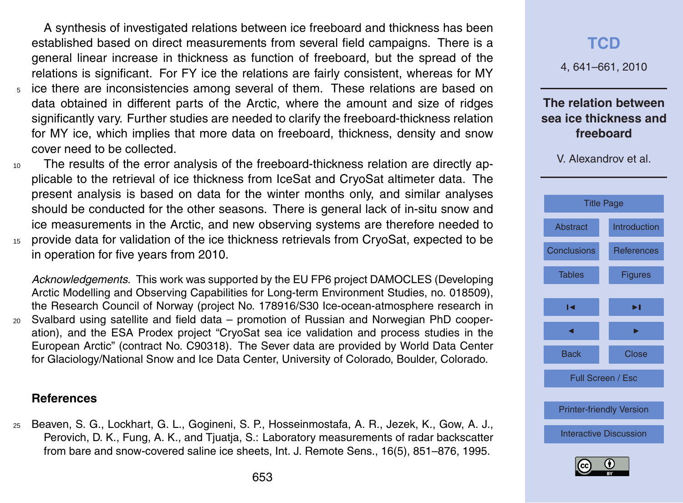<span id="page-12-0"></span>A synthesis of investigated relations between ice freeboard and thickness has been established based on direct measurements from several field campaigns. There is a general linear increase in thickness as function of freeboard, but the spread of the relations is significant. For FY ice the relations are fairly consistent, whereas for MY

- <sup>5</sup> ice there are inconsistencies among several of them. These relations are based on data obtained in different parts of the Arctic, where the amount and size of ridges significantly vary. Further studies are needed to clarify the freeboard-thickness relation for MY ice, which implies that more data on freeboard, thickness, density and snow cover need to be collected.
- <sup>10</sup> The results of the error analysis of the freeboard-thickness relation are directly applicable to the retrieval of ice thickness from IceSat and CryoSat altimeter data. The present analysis is based on data for the winter months only, and similar analyses should be conducted for the other seasons. There is general lack of in-situ snow and ice measurements in the Arctic, and new observing systems are therefore needed to <sup>15</sup> provide data for validation of the ice thickness retrievals from CryoSat, expected to be in operation for five years from 2010.

*Acknowledgements.* This work was supported by the EU FP6 project DAMOCLES (Developing Arctic Modelling and Observing Capabilities for Long-term Environment Studies, no. 018509), the Research Council of Norway (project No. 178916/S30 Ice-ocean-atmosphere research in <sup>20</sup> Svalbard using satellite and field data – promotion of Russian and Norwegian PhD cooperation), and the ESA Prodex project "CryoSat sea ice validation and process studies in the European Arctic" (contract No. C90318). The Sever data are provided by World Data Center for Glaciology/National Snow and Ice Data Center, University of Colorado, Boulder, Colorado.

#### **References**

<sup>25</sup> Beaven, S. G., Lockhart, G. L., Gogineni, S. P., Hosseinmostafa, A. R., Jezek, K., Gow, A. J., Perovich, D. K., Fung, A. K., and Tjuatja, S.: Laboratory measurements of radar backscatter from bare and snow-covered saline ice sheets, Int. J. Remote Sens., 16(5), 851–876, 1995.



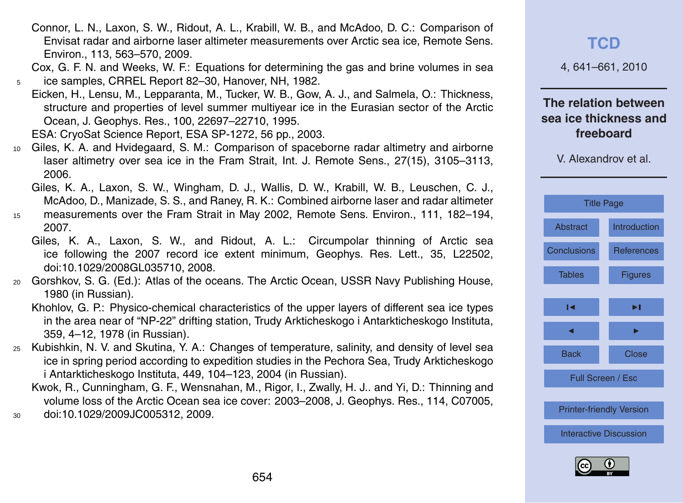Connor, L. N., Laxon, S. W., Ridout, A. L., Krabill, W. B., and McAdoo, D. C.: Comparison of Envisat radar and airborne laser altimeter measurements over Arctic sea ice, Remote Sens. Environ., 113, 563–570, 2009.

Cox, G. F. N. and Weeks, W. F.: Equations for determining the gas and brine volumes in sea <sup>5</sup> ice samples, CRREL Report 82–30, Hanover, NH, 1982.

Eicken, H., Lensu, M., Lepparanta, M., Tucker, W. B., Gow, A. J., and Salmela, O.: Thickness, structure and properties of level summer multiyear ice in the Eurasian sector of the Arctic Ocean, J. Geophys. Res., 100, 22697–22710, 1995.

ESA: CryoSat Science Report, ESA SP-1272, 56 pp., 2003.

<sup>10</sup> Giles, K. A. and Hvidegaard, S. M.: Comparison of spaceborne radar altimetry and airborne laser altimetry over sea ice in the Fram Strait, Int. J. Remote Sens., 27(15), 3105–3113, 2006.

Giles, K. A., Laxon, S. W., Wingham, D. J., Wallis, D. W., Krabill, W. B., Leuschen, C. J., McAdoo, D., Manizade, S. S., and Raney, R. K.: Combined airborne laser and radar altimeter

- <sup>15</sup> measurements over the Fram Strait in May 2002, Remote Sens. Environ., 111, 182–194, 2007.
	- Giles, K. A., Laxon, S. W., and Ridout, A. L.: Circumpolar thinning of Arctic sea ice following the 2007 record ice extent minimum, Geophys. Res. Lett., 35, L22502, doi:10.1029/2008GL035710, 2008.
- <sup>20</sup> Gorshkov, S. G. (Ed.): Atlas of the oceans. The Arctic Ocean, USSR Navy Publishing House, 1980 (in Russian).
	- Khohlov, G. P.: Physico-chemical characteristics of the upper layers of different sea ice types in the area near of "NP-22" drifting station, Trudy Arkticheskogo i Antarkticheskogo Instituta, 359, 4–12, 1978 (in Russian).
- <sup>25</sup> Kubishkin, N. V. and Skutina, Y. A.: Changes of temperature, salinity, and density of level sea ice in spring period according to expedition studies in the Pechora Sea, Trudy Arkticheskogo i Antarkticheskogo Instituta, 449, 104–123, 2004 (in Russian).

Kwok, R., Cunningham, G. F., Wensnahan, M., Rigor, I., Zwally, H. J.. and Yi, D.: Thinning and volume loss of the Arctic Ocean sea ice cover: 2003–2008, J. Geophys. Res., 114, C07005,

<sup>30</sup> doi:10.1029/2009JC005312, 2009.

**[TCD](http://www.the-cryosphere-discuss.net)**

4, 641–661, 2010

### **The relation between sea ice thickness and freeboard**

| <b>Title Page</b>               |                   |  |  |  |
|---------------------------------|-------------------|--|--|--|
| Abstract                        | Introduction      |  |  |  |
| <b>Conclusions</b>              | <b>References</b> |  |  |  |
| <b>Tables</b>                   | <b>Figures</b>    |  |  |  |
| ы                               |                   |  |  |  |
|                                 | ▶∣                |  |  |  |
|                                 |                   |  |  |  |
| <b>Back</b>                     | <b>Close</b>      |  |  |  |
| Full Screen / Esc               |                   |  |  |  |
|                                 |                   |  |  |  |
| <b>Printer-friendly Version</b> |                   |  |  |  |
| <b>Interactive Discussion</b>   |                   |  |  |  |
|                                 |                   |  |  |  |

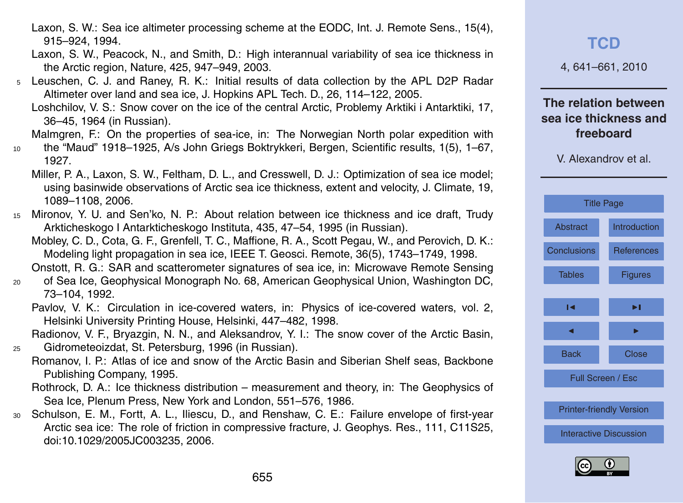- Laxon, S. W.: Sea ice altimeter processing scheme at the EODC, Int. J. Remote Sens., 15(4), 915–924, 1994.
- Laxon, S. W., Peacock, N., and Smith, D.: High interannual variability of sea ice thickness in the Arctic region, Nature, 425, 947–949, 2003.
- <sup>5</sup> Leuschen, C. J. and Raney, R. K.: Initial results of data collection by the APL D2P Radar Altimeter over land and sea ice, J. Hopkins APL Tech. D., 26, 114–122, 2005.
	- Loshchilov, V. S.: Snow cover on the ice of the central Arctic, Problemy Arktiki i Antarktiki, 17, 36–45, 1964 (in Russian).

#### Malmgren, F.: On the properties of sea-ice, in: The Norwegian North polar expedition with

- <sup>10</sup> the "Maud" 1918–1925, A/s John Griegs Boktrykkeri, Bergen, Scientific results, 1(5), 1–67, 1927.
	- Miller, P. A., Laxon, S. W., Feltham, D. L., and Cresswell, D. J.: Optimization of sea ice model; using basinwide observations of Arctic sea ice thickness, extent and velocity, J. Climate, 19, 1089–1108, 2006.
- <sup>15</sup> Mironov, Y. U. and Sen'ko, N. P.: About relation between ice thickness and ice draft, Trudy Arkticheskogo I Antarkticheskogo Instituta, 435, 47–54, 1995 (in Russian).

Mobley, C. D., Cota, G. F., Grenfell, T. C., Maffione, R. A., Scott Pegau, W., and Perovich, D. K.: Modeling light propagation in sea ice, IEEE T. Geosci. Remote, 36(5), 1743–1749, 1998. Onstott, R. G.: SAR and scatterometer signatures of sea ice, in: Microwave Remote Sensing

- <sup>20</sup> of Sea Ice, Geophysical Monograph No. 68, American Geophysical Union, Washington DC, 73–104, 1992.
	- Pavlov, V. K.: Circulation in ice-covered waters, in: Physics of ice-covered waters, vol. 2, Helsinki University Printing House, Helsinki, 447–482, 1998.
- Radionov, V. F., Bryazgin, N. N., and Aleksandrov, Y. I.: The snow cover of the Arctic Basin, <sup>25</sup> Gidrometeoizdat, St. Petersburg, 1996 (in Russian).
	- Romanov, I. P.: Atlas of ice and snow of the Arctic Basin and Siberian Shelf seas, Backbone Publishing Company, 1995.
	- Rothrock, D. A.: Ice thickness distribution measurement and theory, in: The Geophysics of Sea Ice, Plenum Press, New York and London, 551–576, 1986.
- <sup>30</sup> Schulson, E. M., Fortt, A. L., Iliescu, D., and Renshaw, C. E.: Failure envelope of first-year Arctic sea ice: The role of friction in compressive fracture, J. Geophys. Res., 111, C11S25, doi:10.1029/2005JC003235, 2006.

### **[TCD](http://www.the-cryosphere-discuss.net)**

4, 641–661, 2010

#### **The relation between sea ice thickness and freeboard**

| <b>Title Page</b>               |                   |  |  |  |
|---------------------------------|-------------------|--|--|--|
| Abstract                        | Introduction      |  |  |  |
| Conclusions                     | <b>References</b> |  |  |  |
| <b>Tables</b>                   | <b>Figures</b>    |  |  |  |
| ы                               | ы                 |  |  |  |
|                                 |                   |  |  |  |
|                                 | ь                 |  |  |  |
| <b>Back</b>                     | Close             |  |  |  |
| Full Screen / Esc               |                   |  |  |  |
|                                 |                   |  |  |  |
| <b>Printer-friendly Version</b> |                   |  |  |  |
| <b>Interactive Discussion</b>   |                   |  |  |  |
|                                 |                   |  |  |  |

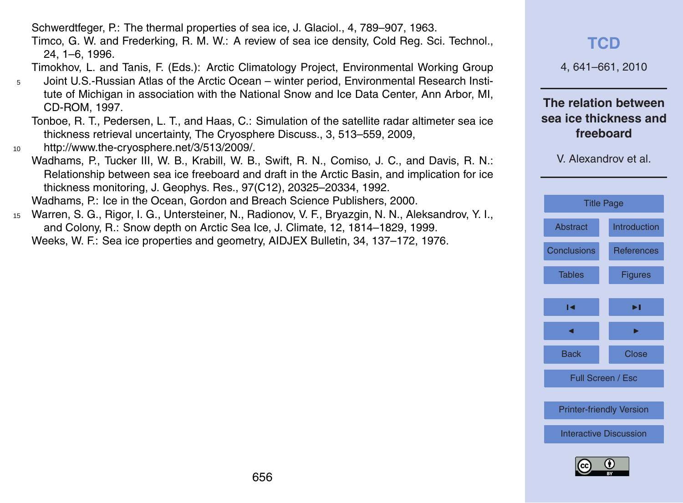Schwerdtfeger, P.: The thermal properties of sea ice, J. Glaciol., 4, 789–907, 1963.

Timco, G. W. and Frederking, R. M. W.: A review of sea ice density, Cold Reg. Sci. Technol., 24, 1–6, 1996.

Timokhov, L. and Tanis, F. (Eds.): Arctic Climatology Project, Environmental Working Group

- <sup>5</sup> Joint U.S.-Russian Atlas of the Arctic Ocean winter period, Environmental Research Institute of Michigan in association with the National Snow and Ice Data Center, Ann Arbor, MI, CD-ROM, 1997.
	- Tonboe, R. T., Pedersen, L. T., and Haas, C.: Simulation of the satellite radar altimeter sea ice thickness retrieval uncertainty, The Cryosphere Discuss., 3, 513–559, 2009,
- <sup>10</sup> [http://www.the-cryosphere.net/3/513/2009/.](http://www.the-cryosphere.net/3/513/2009/)
- Wadhams, P., Tucker III, W. B., Krabill, W. B., Swift, R. N., Comiso, J. C., and Davis, R. N.: Relationship between sea ice freeboard and draft in the Arctic Basin, and implication for ice thickness monitoring, J. Geophys. Res., 97(C12), 20325–20334, 1992.

Wadhams, P.: Ice in the Ocean, Gordon and Breach Science Publishers, 2000.

<sup>15</sup> Warren, S. G., Rigor, I. G., Untersteiner, N., Radionov, V. F., Bryazgin, N. N., Aleksandrov, Y. I., and Colony, R.: Snow depth on Arctic Sea Ice, J. Climate, 12, 1814–1829, 1999. Weeks, W. F.: Sea ice properties and geometry, AIDJEX Bulletin, 34, 137–172, 1976.

| <b>TCD</b>                                                                         |                     |  |  |  |  |
|------------------------------------------------------------------------------------|---------------------|--|--|--|--|
| 4, 641-661, 2010                                                                   |                     |  |  |  |  |
| The relation between<br>sea ice thickness and<br>freeboard<br>V. Alexandrov et al. |                     |  |  |  |  |
|                                                                                    |                     |  |  |  |  |
|                                                                                    | <b>Title Page</b>   |  |  |  |  |
| <b>Abstract</b>                                                                    | <b>Introduction</b> |  |  |  |  |
| <b>Conclusions</b>                                                                 | References          |  |  |  |  |
| <b>Tables</b>                                                                      | <b>Figures</b>      |  |  |  |  |
| ы                                                                                  | ▶।                  |  |  |  |  |
|                                                                                    |                     |  |  |  |  |
| <b>Back</b>                                                                        | Close               |  |  |  |  |
| Full Screen / Esc                                                                  |                     |  |  |  |  |
| <b>Printer-friendly Version</b>                                                    |                     |  |  |  |  |
| <b>Interactive Discussion</b>                                                      |                     |  |  |  |  |

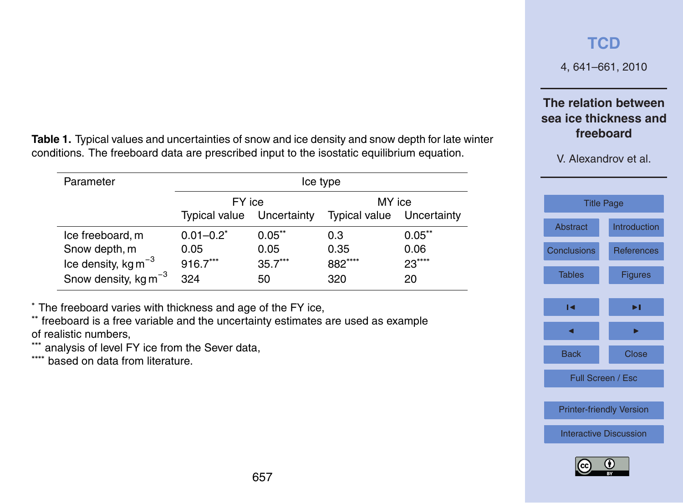<span id="page-16-0"></span>**Table 1.** Typical values and uncertainties of snow and ice density and snow depth for late winter conditions. The freeboard data are prescribed input to the isostatic equilibrium equation.

| Parameter                 | Ice type       |             |                      |             |
|---------------------------|----------------|-------------|----------------------|-------------|
|                           | FY ice         |             | MY ice               |             |
|                           | Typical value  | Uncertainty | <b>Typical value</b> | Uncertainty |
| Ice freeboard, m          | $0.01 - 0.2^*$ | $0.05***$   | 0.3                  | $0.05***$   |
| Snow depth, m             | 0.05           | 0.05        | 0.35                 | 0.06        |
| Ice density, kg $m^{-3}$  | 916.7***       | $35.7***$   | 882****              | $23***$     |
| Snow density, kg $m^{-3}$ | 324            | 50          | 320                  | 20          |

657

∗ The freeboard varies with thickness and age of the FY ice,

∗∗ freeboard is a free variable and the uncertainty estimates are used as example of realistic numbers,

∗∗∗ analysis of level FY ice from the Sever data,

∗∗∗∗ based on data from literature.

## **[TCD](http://www.the-cryosphere-discuss.net)**

4, 641–661, 2010

### **The relation between sea ice thickness and freeboard**



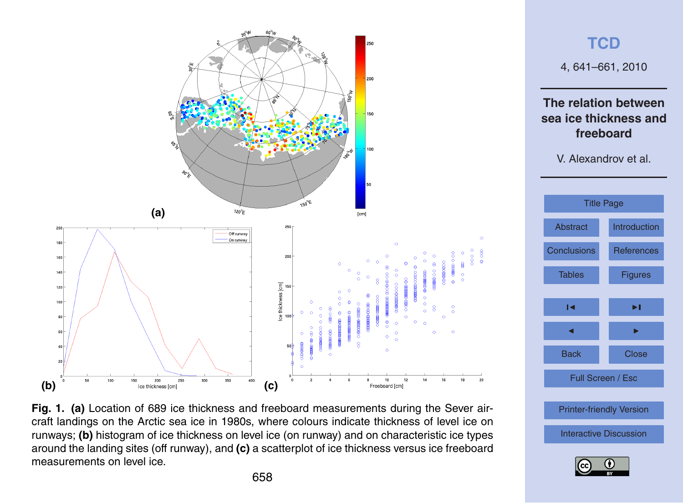<span id="page-17-0"></span>

**Fig. 1. (a)** Location of 689 ice thickness and freeboard measurements during the Sever aircraft landings on the Arctic sea ice in 1980s, where colours indicate thickness of level ice on runways; **(b)** histogram of ice thickness on level ice (on runway) and on characteristic ice types around the landing sites (off runway), and **(c)** a scatterplot of ice thickness versus ice freeboard measurements on level ice.



**[TCD](http://www.the-cryosphere-discuss.net)**

4, 641–661, 2010

**The relation between sea ice thickness and freeboard**

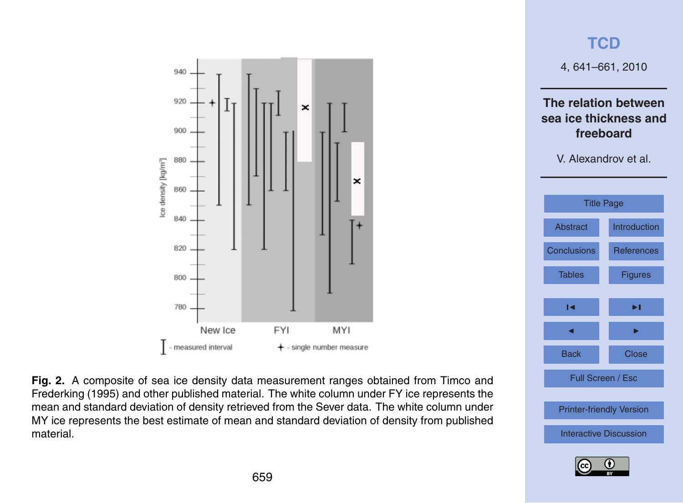

4, 641–661, 2010 **The relation between sea ice thickness and freeboard** V. Alexandrov et al. [Title Page](#page-0-0) [Abstract](#page-1-0) [Introduction](#page-1-0) [Conclusions](#page-10-0) [References](#page-12-0) [Tables](#page-16-0) [Figures](#page-17-0)  $\overline{\phantom{a}}$ J I Back Close Full Screen / Esc [Printer-friendly Version](http://www.the-cryosphere-discuss.net/4/641/2010/tcd-4-641-2010-print.pdf)

**Fig. 2.** A composite of sea ice density data measurement ranges obtained from Timco and Frederking (1995) and other published material. The white column under FY ice represents the mean and standard deviation of density retrieved from the Sever data. The white column under MY ice represents the best estimate of mean and standard deviation of density from published material.

## [Interactive Discussion](http://www.the-cryosphere-discuss.net/4/641/2010/tcd-4-641-2010-discussion.html)



## **[TCD](http://www.the-cryosphere-discuss.net)**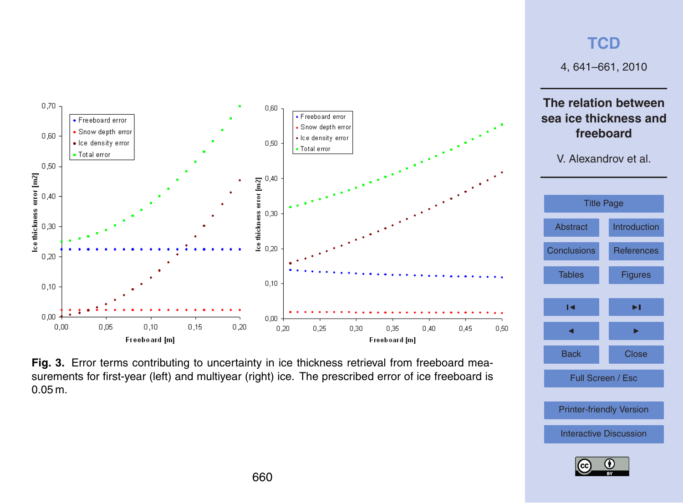## **[TCD](http://www.the-cryosphere-discuss.net)**

4, 641–661, 2010

**freeboard**

V. Alexandrov et al.



**Fig. 3.** Error terms contributing to uncertainty in ice thickness retrieval from freeboard measurements for first-year (left) and multiyear (right) ice. The prescribed error of ice freeboard is 0.05 m.